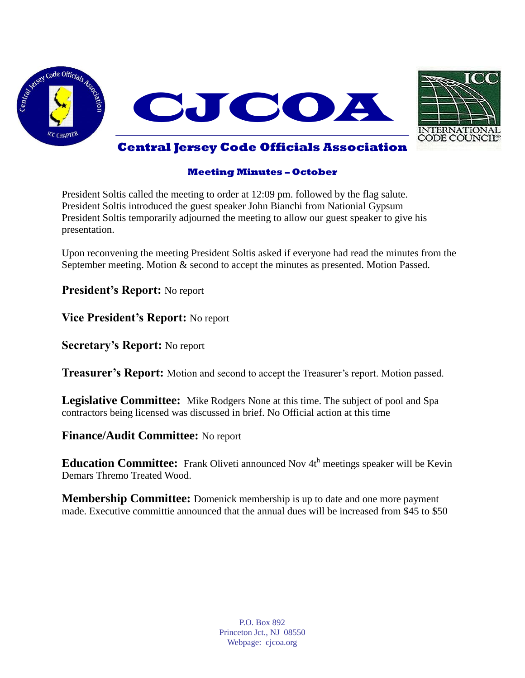



#### **Meeting Minutes – October**

President Soltis called the meeting to order at 12:09 pm. followed by the flag salute. President Soltis introduced the guest speaker John Bianchi from Nationial Gypsum President Soltis temporarily adjourned the meeting to allow our guest speaker to give his presentation.

Upon reconvening the meeting President Soltis asked if everyone had read the minutes from the September meeting. Motion & second to accept the minutes as presented. Motion Passed.

**President's Report:** No report

**Vice President's Report:** No report

**Secretary's Report:** No report

**Treasurer's Report:** Motion and second to accept the Treasurer's report. Motion passed.

**Legislative Committee:** Mike Rodgers None at this time. The subject of pool and Spa contractors being licensed was discussed in brief. No Official action at this time

**Finance/Audit Committee:** No report

**Education Committee:** Frank Oliveti announced Nov 4th meetings speaker will be Kevin Demars Thremo Treated Wood.

**Membership Committee:** Domenick membership is up to date and one more payment made. Executive committie announced that the annual dues will be increased from \$45 to \$50

> P.O. Box 892 Princeton Jct., NJ 08550 Webpage: cjcoa.org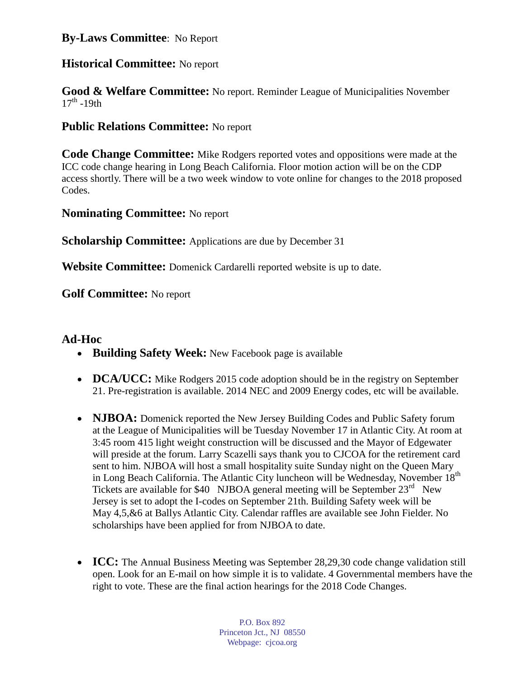# **By-Laws Committee**: No Report

# **Historical Committee:** No report

**Good & Welfare Committee:** No report. Reminder League of Municipalities November  $17<sup>th</sup> - 19th$ 

# **Public Relations Committee:** No report

**Code Change Committee:** Mike Rodgers reported votes and oppositions were made at the ICC code change hearing in Long Beach California. Floor motion action will be on the CDP access shortly. There will be a two week window to vote online for changes to the 2018 proposed Codes.

**Nominating Committee:** No report

**Scholarship Committee:** Applications are due by December 31

**Website Committee:** Domenick Cardarelli reported website is up to date.

**Golf Committee:** No report

### **Ad-Hoc**

- **Building Safety Week:** New Facebook page is available
- **DCA/UCC:** Mike Rodgers 2015 code adoption should be in the registry on September 21. Pre-registration is available. 2014 NEC and 2009 Energy codes, etc will be available.
- **NJBOA:** Domenick reported the New Jersey Building Codes and Public Safety forum at the League of Municipalities will be Tuesday November 17 in Atlantic City. At room at 3:45 room 415 light weight construction will be discussed and the Mayor of Edgewater will preside at the forum. Larry Scazelli says thank you to CJCOA for the retirement card sent to him. NJBOA will host a small hospitality suite Sunday night on the Queen Mary in Long Beach California. The Atlantic City luncheon will be Wednesday, November 18<sup>th</sup> Tickets are available for \$40 NJBOA general meeting will be September  $23<sup>rd</sup>$  New Jersey is set to adopt the I-codes on September 21th. Building Safety week will be May 4,5,&6 at Ballys Atlantic City. Calendar raffles are available see John Fielder. No scholarships have been applied for from NJBOA to date.
	- **ICC:** The Annual Business Meeting was September 28,29,30 code change validation still open. Look for an E-mail on how simple it is to validate. 4 Governmental members have the right to vote. These are the final action hearings for the 2018 Code Changes.

P.O. Box 892 Princeton Jct., NJ 08550 Webpage: cjcoa.org